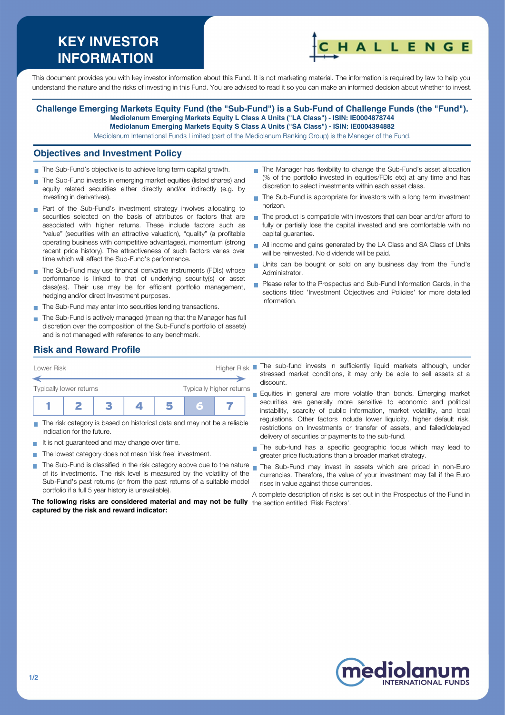# **KEY INVESTOR INFORMATION**



This document provides you with key investor information about this Fund. It is not marketing material. The information is required by law to help you understand the nature and the risks of investing in this Fund. You are advised to read it so you can make an informed decision about whether to invest.

#### **Challenge Emerging Markets Equity Fund (the "Sub-Fund") is a Sub-Fund of Challenge Funds (the "Fund"). Mediolanum Emerging Markets Equity L Class A Units ("LA Class") - ISIN: IE0004878744 Mediolanum Emerging Markets Equity S Class A Units ("SA Class") - ISIN: IE0004394882**

Mediolanum International Funds Limited (part of the Mediolanum Banking Group) is the Manager of the Fund.

#### **Objectives and Investment Policy**

- The Sub-Fund's objective is to achieve long term capital growth.
- The Sub-Fund invests in emerging market equities (listed shares) and equity related securities either directly and/or indirectly (e.g. by investing in derivatives).
- **Part of the Sub-Fund's investment strategy involves allocating to** securities selected on the basis of attributes or factors that are associated with higher returns. These include factors such as "value" (securities with an attractive valuation), "quality" (a profitable operating business with competitive advantages), momentum (strong recent price history). The attractiveness of such factors varies over time which will affect the Sub-Fund's performance.
- The Sub-Fund may use financial derivative instruments (FDIs) whose performance is linked to that of underlying security(s) or asset class(es). Their use may be for efficient portfolio management, hedging and/or direct Investment purposes.
- The Sub-Fund may enter into securities lending transactions.
- The Sub-Fund is actively managed (meaning that the Manager has full discretion over the composition of the Sub-Fund's portfolio of assets) and is not managed with reference to any benchmark.
- The Manager has flexibility to change the Sub-Fund's asset allocation (% of the portfolio invested in equities/FDIs etc) at any time and has discretion to select investments within each asset class.
- The Sub-Fund is appropriate for investors with a long term investment  $\overline{\phantom{a}}$ horizon.
- $\blacksquare$  The product is compatible with investors that can bear and/or afford to fully or partially lose the capital invested and are comfortable with no capital guarantee.
- All income and gains generated by the LA Class and SA Class of Units will be reinvested. No dividends will be paid.
- Units can be bought or sold on any business day from the Fund's Administrator.
- Please refer to the Prospectus and Sub-Fund Information Cards, in the sections titled 'Investment Objectives and Policies' for more detailed information.

### **Risk and Reward Profile**



- The risk category is based on historical data and may not be a reliable indication for the future.
- It is not quaranteed and may change over time.
- The lowest category does not mean 'risk free' investment.  $\sim$
- The Sub-Fund is classified in the risk category above due to the nature **T** of its investments. The risk level is measured by the volatility of the Sub-Fund's past returns (or from the past returns of a suitable model portfolio if a full 5 year history is unavailable).

**The following risks are considered material and may not be fully** the section entitled 'Risk Factors'.**captured by the risk and reward indicator:**

stressed market conditions, it may only be able to sell assets at a discount.

Equities in general are more volatile than bonds. Emerging market  $\blacksquare$ securities are generally more sensitive to economic and political instability, scarcity of public information, market volatility, and local regulations. Other factors include lower liquidity, higher default risk, restrictions on Investments or transfer of assets, and failed/delayed delivery of securities or payments to the sub-fund.

- The sub-fund has a specific geographic focus which may lead to greater price fluctuations than a broader market strategy.
- The Sub-Fund may invest in assets which are priced in non-Euro currencies. Therefore, the value of your investment may fall if the Euro rises in value against those currencies.

A complete description of risks is set out in the Prospectus of the Fund in